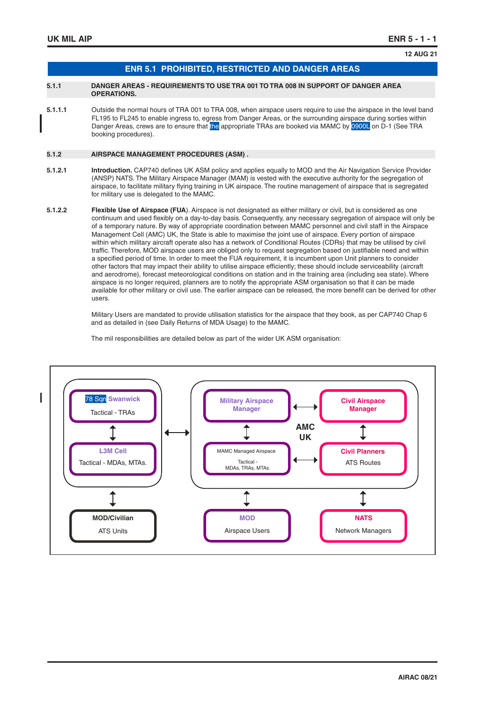**12 AUG 21**

| <b>ENR 5.1 PROHIBITED, RESTRICTED AND DANGER AREAS \</b> |
|----------------------------------------------------------|
|                                                          |

#### **5.1.1 DANGER AREAS - REQUIREMENTS TO USE TRA 001 TO TRA 008 IN SUPPORT OF DANGER AREA OPERATIONS.**

**5.1.1.1** Outside the normal hours of TRA 001 to TRA 008, when airspace users require to use the airspace in the level band FL195 to FL245 to enable ingress to, egress from Danger Areas, or the surrounding airspace during sorties within Danger Areas, crews are to ensure that the appropriate TRAs are booked via MAMC by 0900L on D-1 (See TRA booking procedures).

#### **5.1.2 AIRSPACE MANAGEMENT PROCEDURES (ASM) .**

- **5.1.2.1 Introduction.** CAP740 defines UK ASM policy and applies equally to MOD and the Air Navigation Service Provider (ANSP) NATS. The Military Airspace Manager (MAM) is vested with the executive authority for the segregation of airspace, to facilitate military flying training in UK airspace. The routine management of airspace that is segregated for military use is delegated to the MAMC.
- **5.1.2.2 Flexible Use of Airspace (FUA**). Airspace is not designated as either military or civil, but is considered as one continuum and used flexibly on a day-to-day basis. Consequently, any necessary segregation of airspace will only be of a temporary nature. By way of appropriate coordination between MAMC personnel and civil staff in the Airspace Management Cell (AMC) UK, the State is able to maximise the joint use of airspace. Every portion of airspace within which military aircraft operate also has a network of Conditional Routes (CDRs) that may be utilised by civil traffic. Therefore, MOD airspace users are obliged only to request segregation based on justifiable need and within a specified period of time. In order to meet the FUA requirement, it is incumbent upon Unit planners to consider other factors that may impact their ability to utilise airspace efficiently; these should include serviceability (aircraft and aerodrome), forecast meteorological conditions on station and in the training area (including sea state). Where airspace is no longer required, planners are to notify the appropriate ASM organisation so that it can be made available for other military or civil use. The earlier airspace can be released, the more benefit can be derived for other users.

 Military Users are mandated to provide utilisation statistics for the airspace that they book, as per CAP740 Chap 6 and as detailed in (see Daily Returns of MDA Usage) to the MAMC.

The mil responsibilities are detailed below as part of the wider UK ASM organisation:

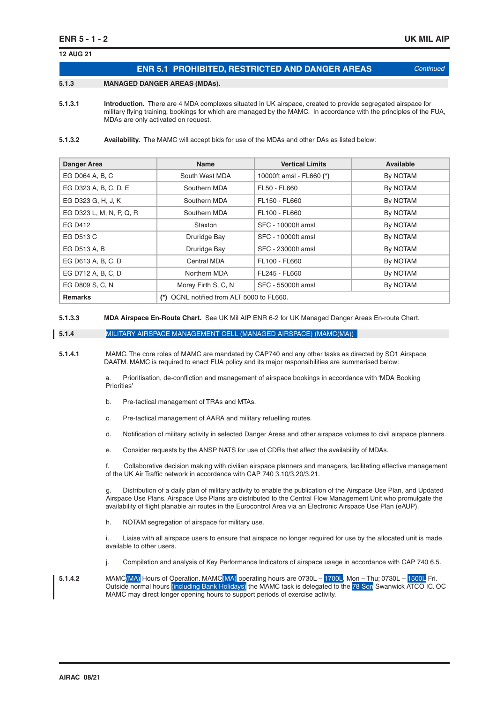**12 AUG 21**

| <b>ENR 5.1 PROHIBITED, RESTRICTED AND DANGER AREAS</b> | Continued |
|--------------------------------------------------------|-----------|

#### **5.1.3 MANAGED DANGER AREAS (MDAs).**

**5.1.3.1 Introduction.** There are 4 MDA complexes situated in UK airspace, created to provide segregated airspace for military flying training, bookings for which are managed by the MAMC. In accordance with the principles of the FUA, MDAs are only activated on request.

#### **5.1.3.2 Availability.** The MAMC will accept bids for use of the MDAs and other DAs as listed below:

| <b>Danger Area</b>                                          | <b>Name</b>         | <b>Vertical Limits</b>   | Available |
|-------------------------------------------------------------|---------------------|--------------------------|-----------|
| EG D064 A, B, C                                             | South West MDA      | 10000ft amsl - FL660 (*) | By NOTAM  |
| EG D323 A, B, C, D, E                                       | Southern MDA        | FL50 - FL660             | By NOTAM  |
| EG D323 G, H, J, K                                          | Southern MDA        | FL150 - FL660            | By NOTAM  |
| EG D323 L, M, N, P, Q, R                                    | Southern MDA        | FL100 - FL660            | By NOTAM  |
| EG D412                                                     | Staxton             | SFC - 10000ft amsl       | By NOTAM  |
| EG D513 C                                                   | Druridge Bay        | SFC - 10000ft amsl       | By NOTAM  |
| EG D513 A, B                                                | Druridge Bay        | SFC - 23000ft amsl       | By NOTAM  |
| EG D613 A, B, C, D                                          | Central MDA         | FL100 - FL660            | By NOTAM  |
| EG D712 A, B, C, D                                          | Northern MDA        | FL245 - FL660            | By NOTAM  |
| EG D809 S, C, N                                             | Moray Firth S, C, N | SFC - 55000ft amsl       | By NOTAM  |
| (*) OCNL notified from ALT 5000 to FL660.<br><b>Remarks</b> |                     |                          |           |

**5.1.3.3 MDA Airspace En-Route Chart.** See UK Mil AIP ENR 6-2 for UK Managed Danger Areas En-route Chart.

#### **5.1.4** MILITARY AIRSPACE MANAGEMENT CELL (MANAGED AIRSPACE) (MAMC(MA))

**5.1.4.1** MAMC. The core roles of MAMC are mandated by CAP740 and any other tasks as directed by SO1 Airspace DAATM. MAMC is required to enact FUA policy and its major responsibilities are summarised below:

> a. Prioritisation, de-confliction and management of airspace bookings in accordance with 'MDA Booking Priorities'

- b. Pre-tactical management of TRAs and MTAs.
- c. Pre-tactical management of AARA and military refuelling routes.
- d. Notification of military activity in selected Danger Areas and other airspace volumes to civil airspace planners.
- e. Consider requests by the ANSP NATS for use of CDRs that affect the availability of MDAs.

 f. Collaborative decision making with civilian airspace planners and managers, facilitating effective management of the UK Air Traffic network in accordance with CAP 740 3.10/3.20/3.21.

Distribution of a daily plan of military activity to enable the publication of the Airspace Use Plan, and Updated Airspace Use Plans. Airspace Use Plans are distributed to the Central Flow Management Unit who promulgate the availability of flight planable air routes in the Eurocontrol Area via an Electronic Airspace Use Plan (eAUP).

h. NOTAM segregation of airspace for military use.

 i. Liaise with all airspace users to ensure that airspace no longer required for use by the allocated unit is made available to other users.

j. Compilation and analysis of Key Performance Indicators of airspace usage in accordance with CAP 740 6.5.

**5.1.4.2** MAMC(MA) Hours of Operation. MAMC(MA) operating hours are 0730L – 1700L, Mon – Thu; 0730L – 1500L Fri. Outside normal hours (including Bank Holidays) the MAMC task is delegated to the 78 Sqn Swanwick ATCO IC. OC MAMC may direct longer opening hours to support periods of exercise activity.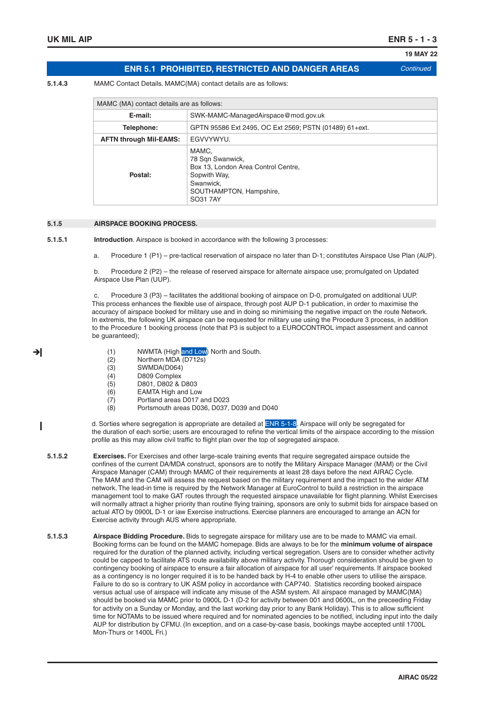ᅱ

**19 MAY 22**

## **ENR 5.1 PROHIBITED, RESTRICTED AND DANGER AREAS** *Continued*

**5.1.4.3** MAMC Contact Details. MAMC(MA) contact details are as follows:

| MAMC (MA) contact details are as follows: |                                                                                                                                      |  |  |
|-------------------------------------------|--------------------------------------------------------------------------------------------------------------------------------------|--|--|
| E-mail:                                   | SWK-MAMC-ManagedAirspace@mod.gov.uk                                                                                                  |  |  |
| Telephone:                                | GPTN 95586 Ext 2495, OC Ext 2569; PSTN (01489) 61+ext.                                                                               |  |  |
| <b>AFTN through Mil-EAMS:</b>             | EGVVYWYU.                                                                                                                            |  |  |
| Postal:                                   | MAMC,<br>78 Sqn Swanwick,<br>Box 13, London Area Control Centre,<br>Sopwith Way,<br>Swanwick,<br>SOUTHAMPTON, Hampshire,<br>SO31 7AY |  |  |

#### **5.1.5 AIRSPACE BOOKING PROCESS.**

**5.1.5.1 Introduction**. Airspace is booked in accordance with the following 3 processes:

a. Procedure 1 (P1) – pre-tactical reservation of airspace no later than D-1; constitutes Airspace Use Plan (AUP).

 b. Procedure 2 (P2) – the release of reserved airspace for alternate airspace use; promulgated on Updated Airspace Use Plan (UUP).

 c. Procedure 3 (P3) – facilitates the additional booking of airspace on D-0, promulgated on additional UUP. This process enhances the flexible use of airspace, through post AUP D-1 publication, in order to maximise the accuracy of airspace booked for military use and in doing so minimising the negative impact on the route Network. In extremis, the following UK airspace can be requested for military use using the Procedure 3 process, in addition to the Procedure 1 booking process (note that P3 is subject to a EUROCONTROL impact assessment and cannot be guaranteed);

- (1) NWMTA (High and Low) North and South.
- (2) Northern MDA (D712s)
- (3) SWMDA(D064)
- (4) D809 Complex
- (5) D801, D802 & D803
- (6) EAMTA High and Low
- (7) Portland areas D017 and D023
- (8) Portsmouth areas D036, D037, D039 and D040

 d. Sorties where segregation is appropriate are detailed at ENR 5-1-8. Airspace will only be segregated for I the duration of each sortie; users are encouraged to refine the vertical limits of the airspace according to the mission profile as this may allow civil traffic to flight plan over the top of segregated airspace.

**5.1.5.2 Exercises.** For Exercises and other large-scale training events that require segregated airspace outside the confines of the current DA/MDA construct, sponsors are to notify the Military Airspace Manager (MAM) or the Civil Airspace Manager (CAM) through MAMC of their requirements at least 28 days before the next AIRAC Cycle. The MAM and the CAM will assess the request based on the military requirement and the impact to the wider ATM network. The lead-in time is required by the Network Manager at EuroControl to build a restriction in the airspace management tool to make GAT routes through the requested airspace unavailable for flight planning. Whilst Exercises will normally attract a higher priority than routine flying training, sponsors are only to submit bids for airspace based on actual ATO by 0900L D-1 or iaw Exercise instructions. Exercise planners are encouraged to arrange an ACN for Exercise activity through AUS where appropriate.

**5.1.5.3 Airspace Bidding Procedure.** Bids to segregate airspace for military use are to be made to MAMC via email. Booking forms can be found on the MAMC homepage. Bids are always to be for the **minimum volume of airspace** required for the duration of the planned activity, including vertical segregation. Users are to consider whether activity could be capped to facilitate ATS route availability above military activity. Thorough consideration should be given to contingency booking of airspace to ensure a fair allocation of airspace for all user' requirements. If airspace booked as a contingency is no longer required it is to be handed back by H-4 to enable other users to utilise the airspace. Failure to do so is contrary to UK ASM policy in accordance with CAP740. Statistics recording booked airspace versus actual use of airspace will indicate any misuse of the ASM system. All airspace managed by MAMC(MA) should be booked via MAMC prior to 0900L D-1 (D-2 for activity between 001 and 0600L, on the preceeding Friday for activity on a Sunday or Monday, and the last working day prior to any Bank Holiday). This is to allow sufficient time for NOTAMs to be issued where required and for nominated agencies to be notified, including input into the daily AUP for distribution by CFMU. (In exception, and on a case-by-case basis, bookings maybe accepted until 1700L Mon-Thurs or 1400L Fri.)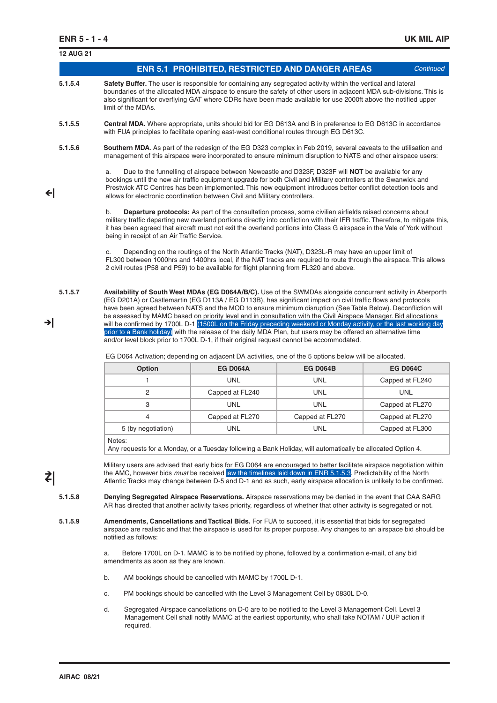|    | <b>12 AUG 21</b> |                                                                                                                                                                                                                                                                                                                                                                               |                                                                                        |                                                                                                                                                                                                                                                                                                                                                                                                                                                                   |                 |  |
|----|------------------|-------------------------------------------------------------------------------------------------------------------------------------------------------------------------------------------------------------------------------------------------------------------------------------------------------------------------------------------------------------------------------|----------------------------------------------------------------------------------------|-------------------------------------------------------------------------------------------------------------------------------------------------------------------------------------------------------------------------------------------------------------------------------------------------------------------------------------------------------------------------------------------------------------------------------------------------------------------|-----------------|--|
|    |                  |                                                                                                                                                                                                                                                                                                                                                                               |                                                                                        | <b>ENR 5.1 PROHIBITED, RESTRICTED AND DANGER AREAS</b>                                                                                                                                                                                                                                                                                                                                                                                                            | Continued       |  |
|    | 5.1.5.4          | Safety Buffer. The user is responsible for containing any segregated activity within the vertical and lateral<br>boundaries of the allocated MDA airspace to ensure the safety of other users in adjacent MDA sub-divisions. This is<br>also significant for overflying GAT where CDRs have been made available for use 2000ft above the notified upper<br>limit of the MDAs. |                                                                                        |                                                                                                                                                                                                                                                                                                                                                                                                                                                                   |                 |  |
|    | 5.1.5.5          | <b>Central MDA.</b> Where appropriate, units should bid for EG D613A and B in preference to EG D613C in accordance<br>with FUA principles to facilitate opening east-west conditional routes through EG D613C.                                                                                                                                                                |                                                                                        |                                                                                                                                                                                                                                                                                                                                                                                                                                                                   |                 |  |
|    | 5.1.5.6          | Southern MDA. As part of the redesign of the EG D323 complex in Feb 2019, several caveats to the utilisation and<br>management of this airspace were incorporated to ensure minimum disruption to NATS and other airspace users:                                                                                                                                              |                                                                                        |                                                                                                                                                                                                                                                                                                                                                                                                                                                                   |                 |  |
| ΨI |                  | a.                                                                                                                                                                                                                                                                                                                                                                            | allows for electronic coordination between Civil and Military controllers.             | Due to the funnelling of airspace between Newcastle and D323F, D323F will NOT be available for any<br>bookings until the new air traffic equipment upgrade for both Civil and Military controllers at the Swanwick and<br>Prestwick ATC Centres has been implemented. This new equipment introduces better conflict detection tools and                                                                                                                           |                 |  |
|    |                  | b.<br>being in receipt of an Air Traffic Service.                                                                                                                                                                                                                                                                                                                             |                                                                                        | <b>Departure protocols:</b> As part of the consultation process, some civilian airfields raised concerns about<br>military traffic departing new overland portions directly into confliction with their IFR traffic. Therefore, to mitigate this,<br>it has been agreed that aircraft must not exit the overland portions into Class G airspace in the Vale of York without                                                                                       |                 |  |
|    |                  | c.                                                                                                                                                                                                                                                                                                                                                                            | 2 civil routes (P58 and P59) to be available for flight planning from FL320 and above. | Depending on the routings of the North Atlantic Tracks (NAT), D323L-R may have an upper limit of<br>FL300 between 1000hrs and 1400hrs local, if the NAT tracks are required to route through the airspace. This allows                                                                                                                                                                                                                                            |                 |  |
|    | 5.1.5.7          |                                                                                                                                                                                                                                                                                                                                                                               |                                                                                        | Availability of South West MDAs (EG D064A/B/C). Use of the SWMDAs alongside concurrent activity in Aberporth<br>(EG D201A) or Castlemartin (EG D113A / EG D113B), has significant impact on civil traffic flows and protocols<br>have been agreed between NATS and the MOD to ensure minimum disruption (See Table Below). Deconfliction will<br>be assessed by MAMC based on priority level and in consultation with the Civil Airspace Manager. Bid allocations |                 |  |
| →l |                  | and/or level block prior to 1700L D-1, if their original request cannot be accommodated.                                                                                                                                                                                                                                                                                      |                                                                                        | will be confirmed by 1700L D-1 (1500L on the Friday preceding weekend or Monday activity, or the last working day<br>prior to a Bank holiday) with the release of the daily MDA Plan, but users may be offered an alternative time                                                                                                                                                                                                                                |                 |  |
|    |                  |                                                                                                                                                                                                                                                                                                                                                                               |                                                                                        | EG D064 Activation; depending on adjacent DA activities, one of the 5 options below will be allocated.                                                                                                                                                                                                                                                                                                                                                            |                 |  |
|    |                  | Option                                                                                                                                                                                                                                                                                                                                                                        | <b>EG D064A</b>                                                                        | <b>EG D064B</b>                                                                                                                                                                                                                                                                                                                                                                                                                                                   | <b>EG D064C</b> |  |
|    |                  | 1                                                                                                                                                                                                                                                                                                                                                                             | <b>UNL</b>                                                                             | <b>UNL</b>                                                                                                                                                                                                                                                                                                                                                                                                                                                        | Capped at FL240 |  |
|    |                  | 2                                                                                                                                                                                                                                                                                                                                                                             | Capped at FL240                                                                        | <b>UNL</b>                                                                                                                                                                                                                                                                                                                                                                                                                                                        | <b>UNL</b>      |  |
|    |                  | 3                                                                                                                                                                                                                                                                                                                                                                             | UNL                                                                                    | <b>UNL</b>                                                                                                                                                                                                                                                                                                                                                                                                                                                        | Capped at FL270 |  |
|    |                  | 4                                                                                                                                                                                                                                                                                                                                                                             | Capped at FL270                                                                        | Capped at FL270                                                                                                                                                                                                                                                                                                                                                                                                                                                   | Capped at FL270 |  |
|    |                  | 5 (by negotiation)                                                                                                                                                                                                                                                                                                                                                            | UNL                                                                                    | <b>UNL</b>                                                                                                                                                                                                                                                                                                                                                                                                                                                        | Capped at FL300 |  |
|    |                  | Notes:                                                                                                                                                                                                                                                                                                                                                                        |                                                                                        | Any requests for a Monday, or a Tuesday following a Bank Holiday, will automatically be allocated Option 4.                                                                                                                                                                                                                                                                                                                                                       |                 |  |
| ₹  |                  |                                                                                                                                                                                                                                                                                                                                                                               |                                                                                        | Military users are advised that early bids for EG D064 are encouraged to better facilitate airspace negotiation within<br>the AMC, however bids must be received aw the timelines laid down in ENR 5.1.5.3. Predictability of the North<br>Atlantic Tracks may change between D-5 and D-1 and as such, early airspace allocation is unlikely to be confirmed.                                                                                                     |                 |  |
|    | 5.1.5.8          |                                                                                                                                                                                                                                                                                                                                                                               |                                                                                        | Denying Segregated Airspace Reservations. Airspace reservations may be denied in the event that CAA SARG<br>AR has directed that another activity takes priority, regardless of whether that other activity is segregated or not.                                                                                                                                                                                                                                 |                 |  |
|    | 5.1.5.9          | notified as follows:                                                                                                                                                                                                                                                                                                                                                          |                                                                                        | Amendments, Cancellations and Tactical Bids. For FUA to succeed, it is essential that bids for segregated<br>airspace are realistic and that the airspace is used for its proper purpose. Any changes to an airspace bid should be                                                                                                                                                                                                                                |                 |  |
|    |                  | a.<br>amendments as soon as they are known.                                                                                                                                                                                                                                                                                                                                   |                                                                                        | Before 1700L on D-1. MAMC is to be notified by phone, followed by a confirmation e-mail, of any bid                                                                                                                                                                                                                                                                                                                                                               |                 |  |
|    |                  | b.                                                                                                                                                                                                                                                                                                                                                                            | AM bookings should be cancelled with MAMC by 1700L D-1.                                |                                                                                                                                                                                                                                                                                                                                                                                                                                                                   |                 |  |
|    |                  | c.                                                                                                                                                                                                                                                                                                                                                                            |                                                                                        | PM bookings should be cancelled with the Level 3 Management Cell by 0830L D-0.                                                                                                                                                                                                                                                                                                                                                                                    |                 |  |
|    |                  | d.                                                                                                                                                                                                                                                                                                                                                                            |                                                                                        | Segregated Airspace cancellations on D-0 are to be notified to the Level 3 Management Cell. Level 3<br>Management Cell shall notify MAMC at the earliest opportunity, who shall take NOTAM / UUP action if                                                                                                                                                                                                                                                        |                 |  |

**required.**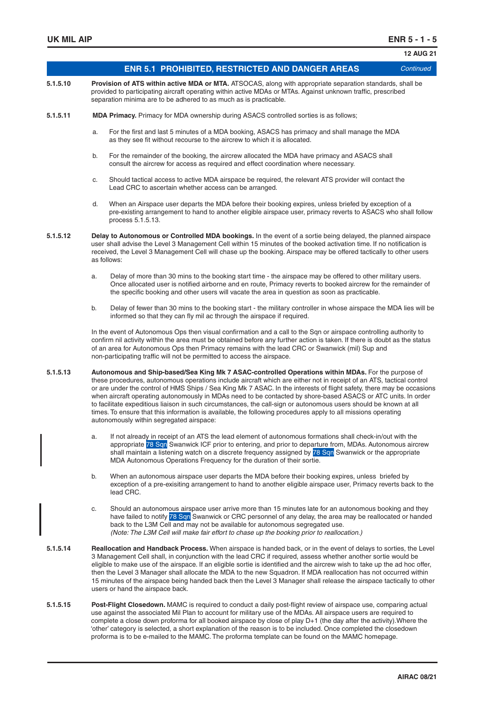|          |                                                                                                                                                                                                                                                                                                                                                                                                                                                                                                                                                                                                                                                                                                                                                        | <b>12 AUG 21</b> |
|----------|--------------------------------------------------------------------------------------------------------------------------------------------------------------------------------------------------------------------------------------------------------------------------------------------------------------------------------------------------------------------------------------------------------------------------------------------------------------------------------------------------------------------------------------------------------------------------------------------------------------------------------------------------------------------------------------------------------------------------------------------------------|------------------|
|          | <b>ENR 5.1 PROHIBITED, RESTRICTED AND DANGER AREAS</b>                                                                                                                                                                                                                                                                                                                                                                                                                                                                                                                                                                                                                                                                                                 | Continued        |
| 5.1.5.10 | Provision of ATS within active MDA or MTA. ATSOCAS, along with appropriate separation standards, shall be<br>provided to participating aircraft operating within active MDAs or MTAs. Against unknown traffic, prescribed<br>separation minima are to be adhered to as much as is practicable.                                                                                                                                                                                                                                                                                                                                                                                                                                                         |                  |
| 5.1.5.11 | <b>MDA Primacy.</b> Primacy for MDA ownership during ASACS controlled sorties is as follows;                                                                                                                                                                                                                                                                                                                                                                                                                                                                                                                                                                                                                                                           |                  |
|          | For the first and last 5 minutes of a MDA booking, ASACS has primacy and shall manage the MDA<br>a.<br>as they see fit without recourse to the aircrew to which it is allocated.                                                                                                                                                                                                                                                                                                                                                                                                                                                                                                                                                                       |                  |
|          | b.<br>For the remainder of the booking, the aircrew allocated the MDA have primacy and ASACS shall<br>consult the aircrew for access as required and effect coordination where necessary.                                                                                                                                                                                                                                                                                                                                                                                                                                                                                                                                                              |                  |
|          | Should tactical access to active MDA airspace be required, the relevant ATS provider will contact the<br>c.<br>Lead CRC to ascertain whether access can be arranged.                                                                                                                                                                                                                                                                                                                                                                                                                                                                                                                                                                                   |                  |
|          | When an Airspace user departs the MDA before their booking expires, unless briefed by exception of a<br>d.<br>pre-existing arrangement to hand to another eligible airspace user, primacy reverts to ASACS who shall follow<br>process 5.1.5.13.                                                                                                                                                                                                                                                                                                                                                                                                                                                                                                       |                  |
| 5.1.5.12 | Delay to Autonomous or Controlled MDA bookings. In the event of a sortie being delayed, the planned airspace<br>user shall advise the Level 3 Management Cell within 15 minutes of the booked activation time. If no notification is<br>received, the Level 3 Management Cell will chase up the booking. Airspace may be offered tactically to other users<br>as follows:                                                                                                                                                                                                                                                                                                                                                                              |                  |
|          | Delay of more than 30 mins to the booking start time - the airspace may be offered to other military users.<br>a.<br>Once allocated user is notified airborne and en route, Primacy reverts to booked aircrew for the remainder of<br>the specific booking and other users will vacate the area in question as soon as practicable.                                                                                                                                                                                                                                                                                                                                                                                                                    |                  |
|          | Delay of fewer than 30 mins to the booking start - the military controller in whose airspace the MDA lies will be<br>b.<br>informed so that they can fly mil ac through the airspace if required.                                                                                                                                                                                                                                                                                                                                                                                                                                                                                                                                                      |                  |
|          | In the event of Autonomous Ops then visual confirmation and a call to the Sqn or airspace controlling authority to<br>confirm nil activity within the area must be obtained before any further action is taken. If there is doubt as the status<br>of an area for Autonomous Ops then Primacy remains with the lead CRC or Swanwick (mil) Sup and<br>non-participating traffic will not be permitted to access the airspace.                                                                                                                                                                                                                                                                                                                           |                  |
| 5.1.5.13 | Autonomous and Ship-based/Sea King Mk 7 ASAC-controlled Operations within MDAs. For the purpose of<br>these procedures, autonomous operations include aircraft which are either not in receipt of an ATS, tactical control<br>or are under the control of HMS Ships / Sea King Mk 7 ASAC. In the interests of flight safety, there may be occasions<br>when aircraft operating autonomously in MDAs need to be contacted by shore-based ASACS or ATC units. In order<br>to facilitate expeditious liaison in such circumstances, the call-sign or autonomous users should be known at all<br>times. To ensure that this information is available, the following procedures apply to all missions operating<br>autonomously within segregated airspace: |                  |
|          | If not already in receipt of an ATS the lead element of autonomous formations shall check-in/out with the<br>a.<br>appropriate 78 Sqn Swanwick ICF prior to entering, and prior to departure from, MDAs. Autonomous aircrew<br>shall maintain a listening watch on a discrete frequency assigned by 78 Sqn Swanwick or the appropriate<br>MDA Autonomous Operations Frequency for the duration of their sortie.                                                                                                                                                                                                                                                                                                                                        |                  |
|          | b.<br>When an autonomous airspace user departs the MDA before their booking expires, unless briefed by<br>exception of a pre-exisiting arrangement to hand to another eligible airspace user, Primacy reverts back to the<br>lead CRC.                                                                                                                                                                                                                                                                                                                                                                                                                                                                                                                 |                  |
|          | Should an autonomous airspace user arrive more than 15 minutes late for an autonomous booking and they<br>C.<br>have failed to notify 78 Sqn Swanwick or CRC personnel of any delay, the area may be reallocated or handed<br>back to the L3M Cell and may not be available for autonomous segregated use.<br>(Note: The L3M Cell will make fair effort to chase up the booking prior to reallocation.)                                                                                                                                                                                                                                                                                                                                                |                  |
| 5.1.5.14 | Reallocation and Handback Process. When airspace is handed back, or in the event of delays to sorties, the Level<br>3 Management Cell shall, in conjunction with the lead CRC if required, assess whether another sortie would be<br>eligible to make use of the airspace. If an eligible sortie is identified and the aircrew wish to take up the ad hoc offer,<br>then the Level 3 Manager shall allocate the MDA to the new Squadron. If MDA reallocation has not occurred within<br>15 minutes of the airspace being handed back then the Level 3 Manager shall release the airspace tactically to other<br>users or hand the airspace back.                                                                                                       |                  |
| 5.1.5.15 | Post-Flight Closedown. MAMC is required to conduct a daily post-flight review of airspace use, comparing actual<br>use against the associated Mil Plan to account for military use of the MDAs. All airspace users are required to                                                                                                                                                                                                                                                                                                                                                                                                                                                                                                                     |                  |

 complete a close down proforma for all booked airspace by close of play D+1 (the day after the activity).Where the 'other' category is selected, a short explanation of the reason is to be included. Once completed the closedown proforma is to be e-mailed to the MAMC. The proforma template can be found on the MAMC homepage.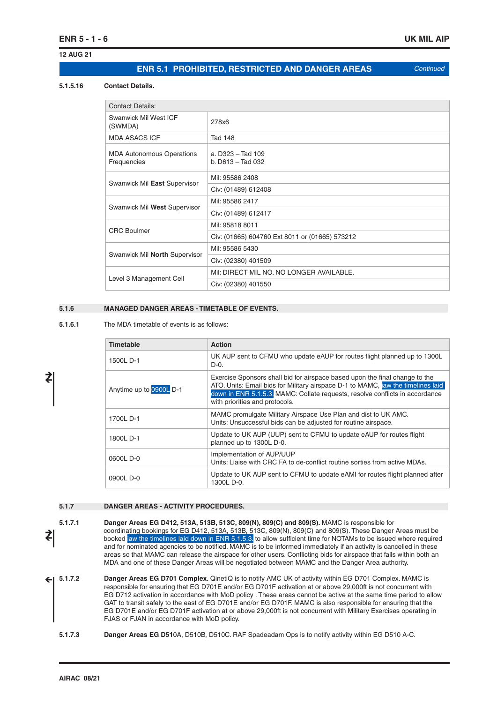### **12 AUG 21**

### **ENR 5.1 PROHIBITED, RESTRICTED AND DANGER AREAS** *Continued*

#### **5.1.5.16 Contact Details.**

| <b>Contact Details:</b>                         |                                                |  |
|-------------------------------------------------|------------------------------------------------|--|
| Swanwick Mil West ICF<br>(SWMDA)                | 278x6                                          |  |
| <b>MDA ASACS ICF</b>                            | <b>Tad 148</b>                                 |  |
| <b>MDA Autonomous Operations</b><br>Frequencies | a. D323 - Tad 109<br>$b.$ D613 - Tad 032       |  |
|                                                 | Mil: 95586 2408                                |  |
| Swanwick Mil East Supervisor                    | Civ: (01489) 612408                            |  |
|                                                 | Mil: 95586 2417                                |  |
| Swanwick Mil West Supervisor                    | Civ: (01489) 612417                            |  |
| <b>CRC</b> Boulmer                              | Mil: 95818 8011                                |  |
|                                                 | Civ: (01665) 604760 Ext 8011 or (01665) 573212 |  |
|                                                 | Mil: 95586 5430                                |  |
| Swanwick Mil North Supervisor                   | Civ: (02380) 401509                            |  |
|                                                 | Mil: DIRECT MIL NO. NO LONGER AVAILABLE.       |  |
| Level 3 Management Cell                         | Civ: (02380) 401550                            |  |

#### **5.1.6 MANAGED DANGER AREAS - TIMETABLE OF EVENTS.**

**5.1.6.1** The MDA timetable of events is as follows:

| <b>Timetable</b>        | <b>Action</b>                                                                                                                                                                                                                                                                     |
|-------------------------|-----------------------------------------------------------------------------------------------------------------------------------------------------------------------------------------------------------------------------------------------------------------------------------|
| 1500L D-1               | UK AUP sent to CFMU who update eAUP for routes flight planned up to 1300L<br>$D-0.$                                                                                                                                                                                               |
| Anytime up to 0900L D-1 | Exercise Sponsors shall bid for airspace based upon the final change to the<br>ATO. Units: Email bids for Military airspace D-1 to MAMC, law the timelines laid<br>down in ENR 5.1.5.3. MAMC: Collate requests, resolve conflicts in accordance<br>with priorities and protocols. |
| 1700L D-1               | MAMC promulgate Military Airspace Use Plan and dist to UK AMC.<br>Units: Unsuccessful bids can be adjusted for routine airspace.                                                                                                                                                  |
| 1800LD-1                | Update to UK AUP (UUP) sent to CFMU to update eAUP for routes flight<br>planned up to 1300L D-0.                                                                                                                                                                                  |
| 0600L D-0               | Implementation of AUP/UUP<br>Units: Liaise with CRC FA to de-conflict routine sorties from active MDAs.                                                                                                                                                                           |
| 0900L D-0               | Update to UK AUP sent to CFMU to update eAMI for routes flight planned after<br>1300L D-0.                                                                                                                                                                                        |

#### **5.1.7 DANGER AREAS - ACTIVITY PROCEDURES.**

**5.1.7.1 Danger Areas EG D412, 513A, 513B, 513C, 809(N), 809(C) and 809(S).** MAMC is responsible for coordinating bookings for EG D412, 513A, 513B, 513C, 809(N), 809(C) and 809(S). These Danger Areas must be booked iaw the timelines laid down in ENR 5.1.5.3. to allow sufficient time for NOTAMs to be issued where required and for nominated agencies to be notified. MAMC is to be informed immediately if an activity is cancelled in these areas so that MAMC can release the airspace for other users. Conflicting bids for airspace that falls within both an MDA and one of these Danger Areas will be negotiated between MAMC and the Danger Area authority. ≵

**5.1.7.2 Danger Areas EG D701 Complex.** QinetiQ is to notify AMC UK of activity within EG D701 Complex. MAMC is responsible for ensuring that EG D701E and/or EG D701F activation at or above 29,000ft is not concurrent with EG D712 activation in accordance with MoD policy . These areas cannot be active at the same time period to allow GAT to transit safely to the east of EG D701E and/or EG D701F. MAMC is also responsible for ensuring that the EG D701E and/or EG D701F activation at or above 29,000ft is not concurrent with Military Exercises operating in FJAS or FJAN in accordance with MoD policy.  $\leftarrow$ 

**5.1.7.3 Danger Areas EG D51**0A, D510B, D510C. RAF Spadeadam Ops is to notify activity within EG D510 A-C.

≵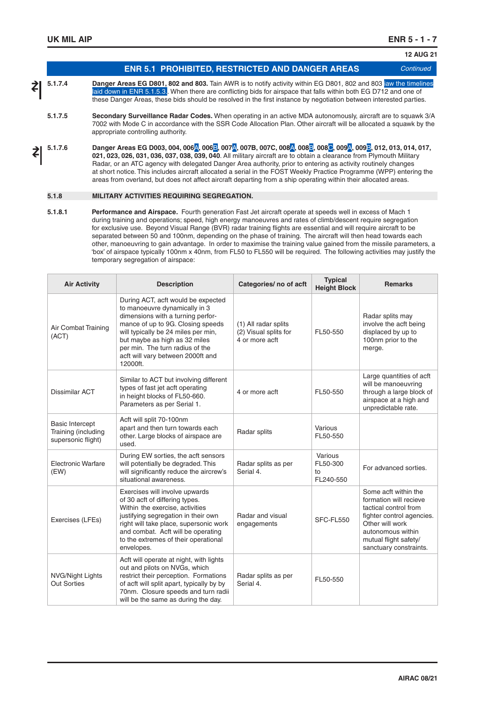#### **ENR 5.1 PROHIBITED, RESTRICTED AND DANGER AREAS** *Continued* **12 AUG 21 5.1.7.4 Danger Areas EG D801, 802 and 803.** Tain AWR is to notify activity within EG D801, 802 and 803 iaw the timelines laid down in ENR 5.1.5.3. When there are conflicting bids for airspace that falls within both EG D712 and one of these Danger Areas, these bids should be resolved in the first instance by negotiation between interested parties. **5.1.7.5 Secondary Surveillance Radar Codes.** When operating in an active MDA autonomously, aircraft are to squawk 3/A 7002 with Mode C in accordance with the SSR Code Allocation Plan. Other aircraft will be allocated a squawk by the appropriate controlling authority. **5.1.7.6 Danger Areas EG D003, 004, 006**A**, 006**B**, 007**A**, 007B, 007C, 008**A**, 008**B**, 008**C**, 009**A**, 009**B**, 012, 013, 014, 017, 021, 023, 026, 031, 036, 037, 038, 039, 040**. All military aircraft are to obtain a clearance from Plymouth Military Radar, or an ATC agency with delegated Danger Area authority, prior to entering as activity routinely changes at short notice. This includes aircraft allocated a serial in the FOST Weekly Practice Programme (WPP) entering the areas from overland, but does not affect aircraft departing from a ship operating within their allocated areas. **5.1.8 MILITARY ACTIVITIES REQUIRING SEGREGATION.**  ≵ ≵

**5.1.8.1 Performance and Airspace.** Fourth generation Fast Jet aircraft operate at speeds well in excess of Mach 1 during training and operations; speed, high energy manoeuvres and rates of climb/descent require segregation for exclusive use. Beyond Visual Range (BVR) radar training flights are essential and will require aircraft to be separated between 50 and 100nm, depending on the phase of training. The aircraft will then head towards each other, manoeuvring to gain advantage. In order to maximise the training value gained from the missile parameters, a 'box' of airspace typically 100nm x 40nm, from FL50 to FL550 will be required. The following activities may justify the temporary segregation of airspace:

| <b>Air Activity</b>                                                 | <b>Description</b>                                                                                                                                                                                                                                                                                        | Categories/ no of acft                                          | <b>Typical</b><br><b>Height Block</b>  | <b>Remarks</b>                                                                                                                                                                                  |
|---------------------------------------------------------------------|-----------------------------------------------------------------------------------------------------------------------------------------------------------------------------------------------------------------------------------------------------------------------------------------------------------|-----------------------------------------------------------------|----------------------------------------|-------------------------------------------------------------------------------------------------------------------------------------------------------------------------------------------------|
| Air Combat Training<br>(ACT)                                        | During ACT, acft would be expected<br>to manoeuvre dynamically in 3<br>dimensions with a turning perfor-<br>mance of up to 9G. Closing speeds<br>will typically be 24 miles per min,<br>but maybe as high as 32 miles<br>per min. The turn radius of the<br>acft will vary between 2000ft and<br>12000ft. | (1) All radar splits<br>(2) Visual splits for<br>4 or more acft | FL50-550                               | Radar splits may<br>involve the acft being<br>displaced by up to<br>100nm prior to the<br>merge.                                                                                                |
| Dissimilar ACT                                                      | Similar to ACT but involving different<br>types of fast jet acft operating<br>in height blocks of FL50-660.<br>Parameters as per Serial 1.                                                                                                                                                                | 4 or more acft                                                  | FL50-550                               | Large quantities of acft<br>will be manoeuvring<br>through a large block of<br>airspace at a high and<br>unpredictable rate.                                                                    |
| <b>Basic Intercept</b><br>Training (including<br>supersonic flight) | Acft will split 70-100nm<br>apart and then turn towards each<br>other. Large blocks of airspace are<br>used.                                                                                                                                                                                              | Radar splits                                                    | Various<br>FL50-550                    |                                                                                                                                                                                                 |
| <b>Electronic Warfare</b><br>(EW)                                   | During EW sorties, the acft sensors<br>will potentially be degraded. This<br>will significantly reduce the aircrew's<br>situational awareness.                                                                                                                                                            | Radar splits as per<br>Serial 4.                                | Various<br>FL50-300<br>to<br>FL240-550 | For advanced sorties.                                                                                                                                                                           |
| Exercises (LFEs)                                                    | Exercises will involve upwards<br>of 30 acft of differing types.<br>Within the exercise, activities<br>justifying segregation in their own<br>right will take place, supersonic work<br>and combat. Acft will be operating<br>to the extremes of their operational<br>envelopes.                          | Radar and visual<br>engagements                                 | SFC-FL550                              | Some acft within the<br>formation will recieve<br>tactical control from<br>fighter control agencies.<br>Other will work<br>autonomous within<br>mutual flight safety/<br>sanctuary constraints. |
| NVG/Night Lights<br><b>Out Sorties</b>                              | Acft will operate at night, with lights<br>out and pilots on NVGs, which<br>restrict their perception. Formations<br>of acft will split apart, typically by by<br>70nm. Closure speeds and turn radii<br>will be the same as during the day.                                                              | Radar splits as per<br>Serial 4.                                | FL50-550                               |                                                                                                                                                                                                 |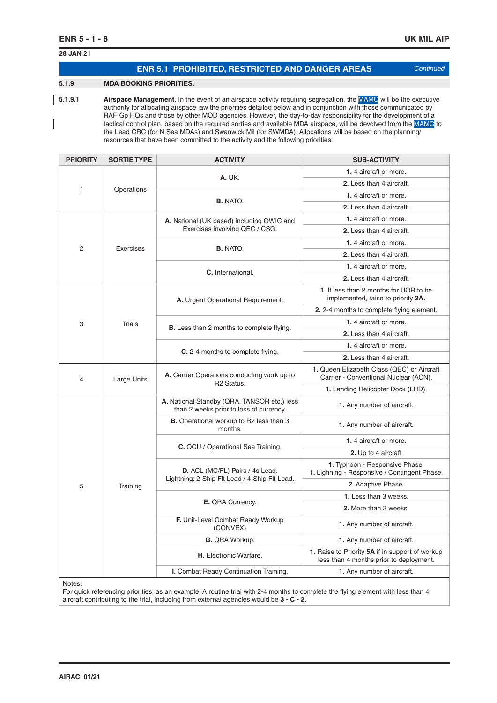# **ENR 5.1 PROHIBITED, RESTRICTED AND DANGER AREAS** *Continued* **28 JAN 21 5.1.9 MDA BOOKING PRIORITIES.**

**5.1.9.1** Airspace Management. In the event of an airspace activity requiring segregation, the MAMC will be the executive authority for allocating airspace iaw the priorities detailed below and in conjunction with those communicated by RAF Gp HQs and those by other MOD agencies. However, the day-to-day responsibility for the development of a tactical control plan, based on the required sorties and available MDA airspace, will be devolved from the MAMC to I the Lead CRC (for N Sea MDAs) and Swanwick Mil (for SWMDA). Allocations will be based on the planning/ resources that have been committed to the activity and the following priorities:

| <b>PRIORITY</b> | <b>SORTIE TYPE</b> | <b>ACTIVITY</b>                                                                        | <b>SUB-ACTIVITY</b>                                                                        |
|-----------------|--------------------|----------------------------------------------------------------------------------------|--------------------------------------------------------------------------------------------|
|                 |                    | <b>A. UK.</b>                                                                          | 1.4 aircraft or more.                                                                      |
| $\mathbf{1}$    |                    | 2. Less than 4 aircraft.                                                               |                                                                                            |
|                 | Operations         |                                                                                        | 1.4 aircraft or more.                                                                      |
|                 |                    | <b>B.</b> NATO.                                                                        | 2. Less than 4 aircraft.                                                                   |
|                 |                    | A. National (UK based) including QWIC and                                              | 1.4 aircraft or more.                                                                      |
|                 |                    | Exercises involving QEC / CSG.                                                         | 2. Less than 4 aircraft.                                                                   |
| 2               | Exercises          | <b>B.</b> NATO.                                                                        | 1.4 aircraft or more.                                                                      |
|                 |                    |                                                                                        | 2. Less than 4 aircraft.                                                                   |
|                 |                    | C. International.                                                                      | 1.4 aircraft or more.                                                                      |
|                 |                    |                                                                                        | 2. Less than 4 aircraft.                                                                   |
|                 |                    | A. Urgent Operational Requirement.                                                     | 1. If less than 2 months for UOR to be<br>implemented, raise to priority 2A.               |
|                 |                    |                                                                                        | 2. 2-4 months to complete flying element.                                                  |
| 3               | <b>Trials</b>      |                                                                                        | 1.4 aircraft or more.                                                                      |
|                 |                    | <b>B.</b> Less than 2 months to complete flying.                                       | 2. Less than 4 aircraft.                                                                   |
|                 |                    |                                                                                        | 1.4 aircraft or more.                                                                      |
|                 |                    | <b>C.</b> 2-4 months to complete flying.                                               | 2. Less than 4 aircraft.                                                                   |
| 4               | Large Units        | A. Carrier Operations conducting work up to                                            | 1. Queen Elizabeth Class (QEC) or Aircraft<br>Carrier - Conventional Nuclear (ACN).        |
|                 |                    | R <sub>2</sub> Status.                                                                 | 1. Landing Helicopter Dock (LHD).                                                          |
|                 |                    | A. National Standby (QRA, TANSOR etc.) less<br>than 2 weeks prior to loss of currency. | 1. Any number of aircraft.                                                                 |
|                 |                    | <b>B.</b> Operational workup to R2 less than 3<br>months.                              | 1. Any number of aircraft.                                                                 |
|                 |                    | <b>C.</b> OCU / Operational Sea Training.                                              | 1.4 aircraft or more.                                                                      |
|                 |                    |                                                                                        | 2. Up to 4 aircraft                                                                        |
|                 |                    | D. ACL (MC/FL) Pairs / 4s Lead.                                                        | 1. Typhoon - Responsive Phase.<br>1. Lighning - Responsive / Contingent Phase.             |
| 5               | Training           | Lightning: 2-Ship Flt Lead / 4-Ship Flt Lead.                                          | 2. Adaptive Phase.                                                                         |
|                 |                    | E. QRA Currency.                                                                       | 1. Less than 3 weeks.                                                                      |
|                 |                    |                                                                                        | 2. More than 3 weeks.                                                                      |
|                 |                    | F. Unit-Level Combat Ready Workup<br>(CONVEX)                                          | 1. Any number of aircraft.                                                                 |
|                 |                    | G. QRA Workup.                                                                         | 1. Any number of aircraft.                                                                 |
|                 |                    | H. Electronic Warfare.                                                                 | 1. Raise to Priority 5A if in support of workup<br>less than 4 months prior to deployment. |
|                 |                    | I. Combat Ready Continuation Training.                                                 | 1. Any number of aircraft.                                                                 |
|                 |                    |                                                                                        |                                                                                            |

Notes:

For quick referencing priorities, as an example: A routine trial with 2-4 months to complete the flying element with less than 4 aircraft contributing to the trial, including from external agencies would be **3 - C - 2.**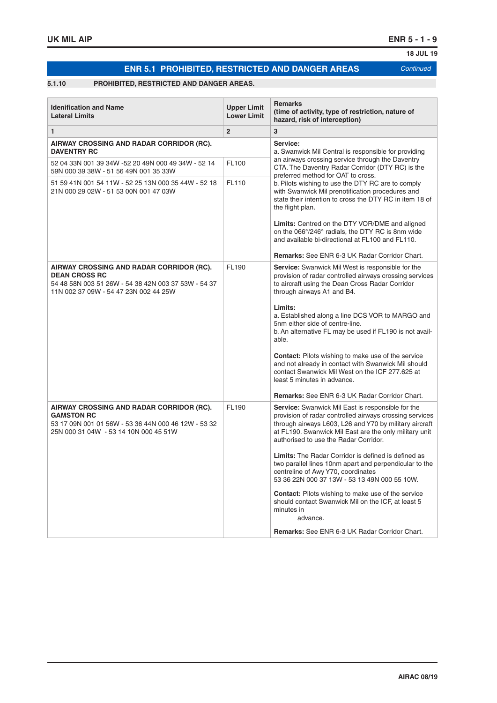# **ENR 5.1 PROHIBITED, RESTRICTED AND DANGER AREAS** *Continued*

### **5.1.10 PROHIBITED, RESTRICTED AND DANGER AREAS.**

| <b>Idenification and Name</b><br><b>Lateral Limits</b>                                                                                                           | <b>Upper Limit</b><br><b>Lower Limit</b> | <b>Remarks</b><br>(time of activity, type of restriction, nature of<br>hazard, risk of interception)                                                                                                                                                                      |
|------------------------------------------------------------------------------------------------------------------------------------------------------------------|------------------------------------------|---------------------------------------------------------------------------------------------------------------------------------------------------------------------------------------------------------------------------------------------------------------------------|
| $\mathbf{1}$                                                                                                                                                     | $\overline{2}$                           | 3                                                                                                                                                                                                                                                                         |
| AIRWAY CROSSING AND RADAR CORRIDOR (RC).<br><b>DAVENTRY RC</b>                                                                                                   |                                          | Service:<br>a. Swanwick Mil Central is responsible for providing                                                                                                                                                                                                          |
| 52 04 33N 001 39 34W -52 20 49N 000 49 34W - 52 14<br>59N 000 39 38W - 51 56 49N 001 35 33W                                                                      | FL100                                    | an airways crossing service through the Daventry<br>CTA. The Daventry Radar Corridor (DTY RC) is the<br>preferred method for OAT to cross.                                                                                                                                |
| 51 59 41N 001 54 11W - 52 25 13N 000 35 44W - 52 18<br>21N 000 29 02W - 51 53 00N 001 47 03W                                                                     | FL110                                    | b. Pilots wishing to use the DTY RC are to comply<br>with Swanwick Mil prenotification procedures and<br>state their intention to cross the DTY RC in item 18 of<br>the flight plan.                                                                                      |
|                                                                                                                                                                  |                                          | Limits: Centred on the DTY VOR/DME and aligned<br>on the 066°/246° radials, the DTY RC is 8nm wide<br>and available bi-directional at FL100 and FL110.                                                                                                                    |
|                                                                                                                                                                  |                                          | <b>Remarks:</b> See ENR 6-3 UK Radar Corridor Chart.                                                                                                                                                                                                                      |
| AIRWAY CROSSING AND RADAR CORRIDOR (RC).<br><b>DEAN CROSS RC</b><br>54 48 58N 003 51 26W - 54 38 42N 003 37 53W - 54 37<br>11N 002 37 09W - 54 47 23N 002 44 25W | FL190                                    | Service: Swanwick Mil West is responsible for the<br>provision of radar controlled airways crossing services<br>to aircraft using the Dean Cross Radar Corridor<br>through airways A1 and B4.                                                                             |
|                                                                                                                                                                  |                                          | Limits:<br>a. Established along a line DCS VOR to MARGO and<br>5nm either side of centre-line.<br>b. An alternative FL may be used if FL190 is not avail-<br>able.                                                                                                        |
|                                                                                                                                                                  |                                          | Contact: Pilots wishing to make use of the service<br>and not already in contact with Swanwick Mil should<br>contact Swanwick Mil West on the ICF 277.625 at<br>least 5 minutes in advance.                                                                               |
|                                                                                                                                                                  |                                          | <b>Remarks:</b> See ENR 6-3 UK Radar Corridor Chart.                                                                                                                                                                                                                      |
| AIRWAY CROSSING AND RADAR CORRIDOR (RC).<br><b>GAMSTON RC</b><br>53 17 09N 001 01 56W - 53 36 44N 000 46 12W - 53 32<br>25N 000 31 04W - 53 14 10N 000 45 51W    | FL190                                    | Service: Swanwick Mil East is responsible for the<br>provision of radar controlled airways crossing services<br>through airways L603, L26 and Y70 by military aircraft<br>at FL190. Swanwick Mil East are the only military unit<br>authorised to use the Radar Corridor. |
|                                                                                                                                                                  |                                          | <b>Limits:</b> The Radar Corridor is defined is defined as<br>two parallel lines 10nm apart and perpendicular to the<br>centreline of Awy Y70, coordinates<br>53 36 22N 000 37 13W - 53 13 49N 000 55 10W.                                                                |
|                                                                                                                                                                  |                                          | Contact: Pilots wishing to make use of the service<br>should contact Swanwick Mil on the ICF, at least 5<br>minutes in<br>advance.                                                                                                                                        |
|                                                                                                                                                                  |                                          | <b>Remarks:</b> See ENR 6-3 UK Radar Corridor Chart.                                                                                                                                                                                                                      |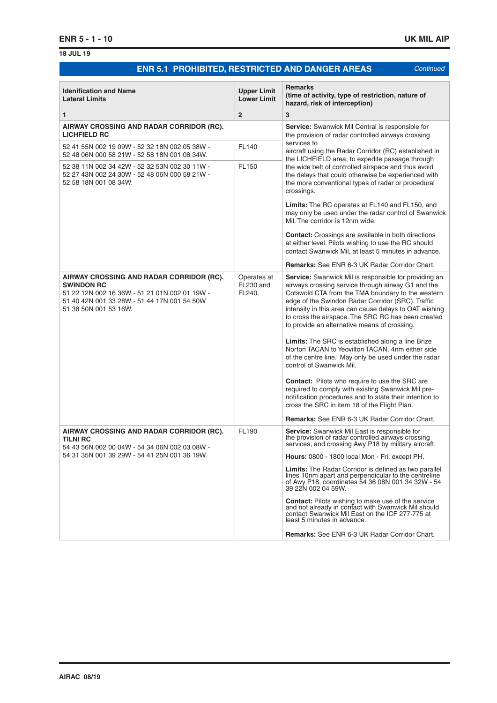### **ENR 5.1 PROHIBITED, RESTRICTED AND DANGER AREAS** *Continued*

**Idenification and Name Lateral Limits Upper Limit Lower Limit Remarks (time of activity, type of restriction, nature of hazard, risk of interception) 1 2 3 AIRWAY CROSSING AND RADAR CORRIDOR (RC). LICHFIELD RC Service:** Swanwick Mil Central is responsible for the provision of radar controlled airways crossing services to aircraft using the Radar Corridor (RC) established in the LICHFIELD area, to expedite passage through the wide belt of controlled airspace and thus avoid the delays that could otherwise be experienced with the more conventional types of radar or procedural crossings. **Limits:** The RC operates at FL140 and FL150, and may only be used under the radar control of Swanwick Mil. The corridor is 12nm wide. **Contact:** Crossings are available in both directions at either level. Pilots wishing to use the RC should contact Swanwick Mil, at least 5 minutes in advance. **Remarks:** See ENR 6-3 UK Radar Corridor Chart. 52 41 55N 002 19 09W - 52 32 18N 002 05 38W - 52 48 06N 000 58 21W - 52 58 18N 001 08 34W.  $F1140$ 52 38 11N 002 34 42W - 52 32 53N 002 30 11W - 52 27 43N 002 24 30W - 52 48 06N 000 58 21W - 52 58 18N 001 08 34W. FL150 **AIRWAY CROSSING AND RADAR CORRIDOR (RC). SWINDON RC** 51 22 12N 002 16 36W - 51 21 01N 002 01 19W - 51 40 42N 001 33 28W - 51 44 17N 001 54 50W 51 38 50N 001 53 16W. Operates at  $FI$  230 and FL240. **Service:** Swanwick Mil is responsible for providing an airways crossing service through airway G1 and the Cotswold CTA from the TMA boundary to the western edge of the Swindon Radar Corridor (SRC). Traffic intensity in this area can cause delays to OAT wishing to cross the airspace. The SRC RC has been created to provide an alternative means of crossing. **Limits:** The SRC is established along a line Brize Norton TACAN to Yeovilton TACAN, 4nm either side of the centre line. May only be used under the radar control of Swanwick Mil. **Contact:** Pilots who require to use the SRC are required to comply with existing Swanwick Mil prenotification procedures and to state their intention to cross the SRC in item 18 of the Flight Plan. **Remarks:** See ENR 6-3 UK Radar Corridor Chart. **AIRWAY CROSSING AND RADAR CORRIDOR (RC). TILNI RC** 54 43 56N 002 00 04W - 54 34 06N 002 03 08W - 54 31 35N 001 39 29W - 54 41 25N 001 36 19W. FL190 **Service:** Swanwick Mil East is responsible for the provision of radar controlled airways crossing services, and crossing Awy P18 by military aircraft. **Hours:** 0800 - 1800 local Mon - Fri, except PH. **Limits:** The Radar Corridor is defined as two parallel lines 10nm apart and perpendicular to the centreline of Awy P18, coordinates 54 36 08N 001 34 32W - 54 39 22N 002 04 59W. **Contact:** Pilots wishing to make use of the service and not already in contact with Swanwick Mil should contact Swanwick Mil East on the ICF 277·775 at least 5 minutes in advance. **Remarks:** See ENR 6-3 UK Radar Corridor Chart.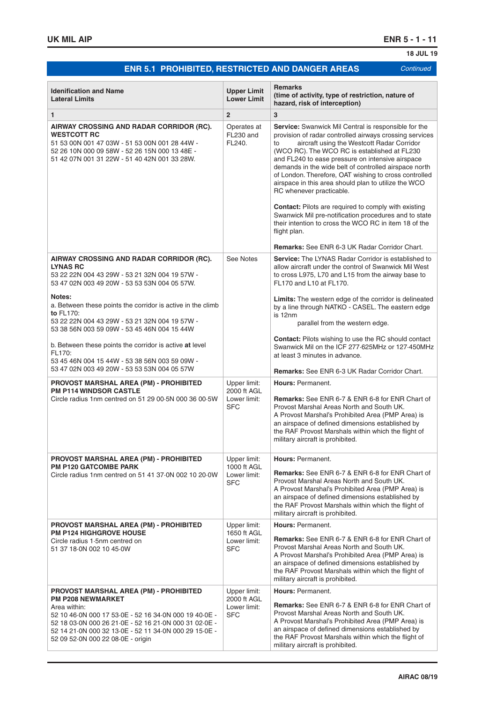# **ENR 5.1 PROHIBITED, RESTRICTED AND DANGER AREAS** *Continued*

**18 JUL 19**

| <b>Idenification and Name</b><br><b>Lateral Limits</b>                                                                                                                                                                                                                                                    | <b>Upper Limit</b><br><b>Lower Limit</b>                  | <b>Remarks</b><br>(time of activity, type of restriction, nature of<br>hazard, risk of interception)                                                                                                                                                                                                                                                                                                                                                                                                                                                                                                                                                                                                                                   |
|-----------------------------------------------------------------------------------------------------------------------------------------------------------------------------------------------------------------------------------------------------------------------------------------------------------|-----------------------------------------------------------|----------------------------------------------------------------------------------------------------------------------------------------------------------------------------------------------------------------------------------------------------------------------------------------------------------------------------------------------------------------------------------------------------------------------------------------------------------------------------------------------------------------------------------------------------------------------------------------------------------------------------------------------------------------------------------------------------------------------------------------|
| $\mathbf{1}$                                                                                                                                                                                                                                                                                              | $\overline{2}$                                            | 3                                                                                                                                                                                                                                                                                                                                                                                                                                                                                                                                                                                                                                                                                                                                      |
| AIRWAY CROSSING AND RADAR CORRIDOR (RC).<br><b>WESTCOTT RC</b><br>51 53 00N 001 47 03W - 51 53 00N 001 28 44W -<br>52 26 10N 000 09 58W - 52 26 15N 000 13 48E -<br>51 42 07N 001 31 22W - 51 40 42N 001 33 28W.                                                                                          | Operates at<br>FL230 and<br>FL240.                        | Service: Swanwick Mil Central is responsible for the<br>provision of radar controlled airways crossing services<br>aircraft using the Westcott Radar Corridor<br>to<br>(WCO RC). The WCO RC is established at FL230<br>and FL240 to ease pressure on intensive airspace<br>demands in the wide belt of controlled airspace north<br>of London. Therefore, OAT wishing to cross controlled<br>airspace in this area should plan to utilize the WCO<br>RC whenever practicable.<br><b>Contact:</b> Pilots are required to comply with existing<br>Swanwick Mil pre-notification procedures and to state<br>their intention to cross the WCO RC in item 18 of the<br>flight plan.<br><b>Remarks:</b> See ENR 6-3 UK Radar Corridor Chart. |
| AIRWAY CROSSING AND RADAR CORRIDOR (RC).<br><b>LYNAS RC</b><br>53 22 22N 004 43 29W - 53 21 32N 004 19 57W -<br>53 47 02N 003 49 20W - 53 53 53N 004 05 57W.                                                                                                                                              | See Notes                                                 | <b>Service:</b> The LYNAS Radar Corridor is established to<br>allow aircraft under the control of Swanwick Mil West<br>to cross L975, L70 and L15 from the airway base to<br>FL170 and L10 at FL170.                                                                                                                                                                                                                                                                                                                                                                                                                                                                                                                                   |
| Notes:<br>a. Between these points the corridor is active in the climb<br>to FL170:<br>53 22 22N 004 43 29W - 53 21 32N 004 19 57W -<br>53 38 56N 003 59 09W - 53 45 46N 004 15 44W<br>b. Between these points the corridor is active at level<br>FL170:                                                   |                                                           | Limits: The western edge of the corridor is delineated<br>by a line through NATKO - CASEL. The eastern edge<br>is 12nm<br>parallel from the western edge.<br><b>Contact:</b> Pilots wishing to use the RC should contact<br>Swanwick Mil on the ICF 277.625MHz or 127.450MHz<br>at least 3 minutes in advance.                                                                                                                                                                                                                                                                                                                                                                                                                         |
| 53 45 46N 004 15 44W - 53 38 56N 003 59 09W -<br>53 47 02N 003 49 20W - 53 53 53N 004 05 57W                                                                                                                                                                                                              |                                                           | <b>Remarks:</b> See ENR 6-3 UK Radar Corridor Chart.                                                                                                                                                                                                                                                                                                                                                                                                                                                                                                                                                                                                                                                                                   |
| <b>PROVOST MARSHAL AREA (PM) - PROHIBITED</b><br><b>PM P114 WINDSOR CASTLE</b><br>Circle radius 1nm centred on 51 29 00.5N 000 36 00.5W                                                                                                                                                                   | Upper limit:<br>2000 ft AGL<br>Lower limit:<br><b>SFC</b> | Hours: Permanent.<br><b>Remarks:</b> See ENR 6-7 & ENR 6-8 for ENR Chart of<br>Provost Marshal Areas North and South UK.<br>A Provost Marshal's Prohibited Area (PMP Area) is<br>an airspace of defined dimensions established by<br>the RAF Provost Marshals within which the flight of<br>military aircraft is prohibited.                                                                                                                                                                                                                                                                                                                                                                                                           |
| <b>PROVOST MARSHAL AREA (PM) - PROHIBITED</b><br><b>PM P120 GATCOMBE PARK</b><br>Circle radius 1nm centred on 51 41 37.0N 002 10 20.0W                                                                                                                                                                    | Upper limit:<br>1000 ft AGL<br>Lower limit:<br><b>SFC</b> | Hours: Permanent.<br><b>Remarks:</b> See ENR 6-7 & ENR 6-8 for ENR Chart of<br>Provost Marshal Areas North and South UK.<br>A Provost Marshal's Prohibited Area (PMP Area) is<br>an airspace of defined dimensions established by<br>the RAF Provost Marshals within which the flight of<br>military aircraft is prohibited.                                                                                                                                                                                                                                                                                                                                                                                                           |
| <b>PROVOST MARSHAL AREA (PM) - PROHIBITED</b><br><b>PM P124 HIGHGROVE HOUSE</b><br>Circle radius 1.5nm centred on<br>51 37 18 0N 002 10 45 0W                                                                                                                                                             | Upper limit:<br>1650 ft AGL<br>Lower limit:<br><b>SFC</b> | Hours: Permanent.<br><b>Remarks:</b> See ENR 6-7 & ENR 6-8 for ENR Chart of<br>Provost Marshal Areas North and South UK.<br>A Provost Marshal's Prohibited Area (PMP Area) is<br>an airspace of defined dimensions established by<br>the RAF Provost Marshals within which the flight of<br>military aircraft is prohibited.                                                                                                                                                                                                                                                                                                                                                                                                           |
| <b>PROVOST MARSHAL AREA (PM) - PROHIBITED</b><br><b>PM P208 NEWMARKET</b><br>Area within:<br>52 10 46 0N 000 17 53 0E - 52 16 34 0N 000 19 40 0E -<br>52 18 03 0N 000 26 21 0E - 52 16 21 0N 000 31 02 0E -<br>52 14 21 0N 000 32 13 0E - 52 11 34 0N 000 29 15 0E -<br>52 09 52 0N 000 22 08 0E - origin | Upper limit:<br>2000 ft AGL<br>Lower limit:<br><b>SFC</b> | Hours: Permanent.<br><b>Remarks:</b> See ENR 6-7 & ENR 6-8 for ENR Chart of<br>Provost Marshal Areas North and South UK.<br>A Provost Marshal's Prohibited Area (PMP Area) is<br>an airspace of defined dimensions established by<br>the RAF Provost Marshals within which the flight of<br>military aircraft is prohibited.                                                                                                                                                                                                                                                                                                                                                                                                           |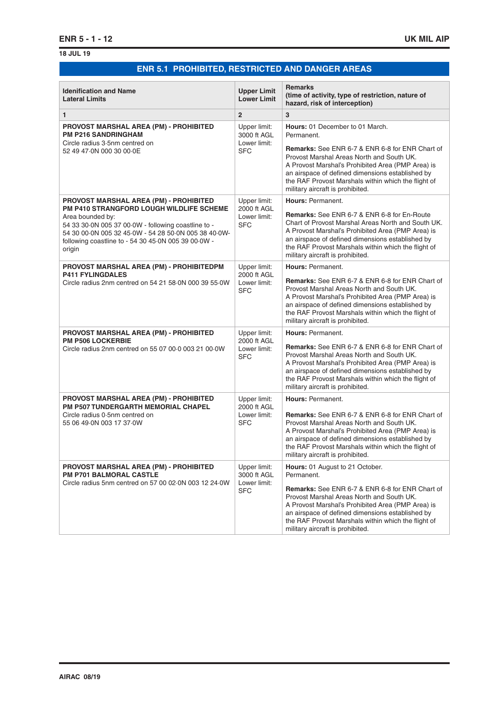# **ENR 5.1 PROHIBITED, RESTRICTED AND DANGER AREAS** *Continued*

| <b>Idenification and Name</b><br><b>Lateral Limits</b>                                                                                                                                                                                                                                               | <b>Upper Limit</b><br><b>Lower Limit</b>                  | <b>Remarks</b><br>(time of activity, type of restriction, nature of<br>hazard, risk of interception)                                                                                                                                                                                                                                                            |
|------------------------------------------------------------------------------------------------------------------------------------------------------------------------------------------------------------------------------------------------------------------------------------------------------|-----------------------------------------------------------|-----------------------------------------------------------------------------------------------------------------------------------------------------------------------------------------------------------------------------------------------------------------------------------------------------------------------------------------------------------------|
| 1                                                                                                                                                                                                                                                                                                    | $\overline{2}$                                            | 3                                                                                                                                                                                                                                                                                                                                                               |
| PROVOST MARSHAL AREA (PM) - PROHIBITED<br><b>PM P216 SANDRINGHAM</b><br>Circle radius 3.5nm centred on<br>52 49 47 0N 000 30 00 0E                                                                                                                                                                   | Upper limit:<br>3000 ft AGL<br>Lower limit:<br><b>SFC</b> | <b>Hours: 01 December to 01 March.</b><br>Permanent.<br><b>Remarks:</b> See ENR 6-7 & ENR 6-8 for ENR Chart of<br>Provost Marshal Areas North and South UK.<br>A Provost Marshal's Prohibited Area (PMP Area) is<br>an airspace of defined dimensions established by<br>the RAF Provost Marshals within which the flight of<br>military aircraft is prohibited. |
| <b>PROVOST MARSHAL AREA (PM) - PROHIBITED</b><br><b>PM P410 STRANGFORD LOUGH WILDLIFE SCHEME</b><br>Area bounded by:<br>54 33 30 0N 005 37 00 0W - following coastline to -<br>54 30 00 0N 005 32 45 0W - 54 28 50 0N 005 38 40 0W-<br>following coastline to - 54 30 45.0N 005 39 00.0W -<br>origin | Upper limit:<br>2000 ft AGL<br>Lower limit:<br><b>SFC</b> | Hours: Permanent.<br><b>Remarks:</b> See ENR 6-7 & ENR 6-8 for En-Route<br>Chart of Provost Marshal Areas North and South UK.<br>A Provost Marshal's Prohibited Area (PMP Area) is<br>an airspace of defined dimensions established by<br>the RAF Provost Marshals within which the flight of<br>military aircraft is prohibited.                               |
| PROVOST MARSHAL AREA (PM) - PROHIBITEDPM<br><b>P411 FYLINGDALES</b><br>Circle radius 2nm centred on 54 21 58.0N 000 39 55.0W                                                                                                                                                                         | Upper limit:<br>2000 ft AGL<br>Lower limit:<br><b>SFC</b> | Hours: Permanent.<br><b>Remarks:</b> See ENR 6-7 & ENR 6-8 for ENR Chart of<br>Provost Marshal Areas North and South UK.<br>A Provost Marshal's Prohibited Area (PMP Area) is<br>an airspace of defined dimensions established by<br>the RAF Provost Marshals within which the flight of<br>military aircraft is prohibited.                                    |
| <b>PROVOST MARSHAL AREA (PM) - PROHIBITED</b><br><b>PM P506 LOCKERBIE</b><br>Circle radius 2nm centred on 55 07 00.0 003 21 00.0W                                                                                                                                                                    | Upper limit:<br>2000 ft AGL<br>Lower limit:<br><b>SFC</b> | Hours: Permanent.<br><b>Remarks:</b> See ENR 6-7 & ENR 6-8 for ENR Chart of<br>Provost Marshal Areas North and South UK.<br>A Provost Marshal's Prohibited Area (PMP Area) is<br>an airspace of defined dimensions established by<br>the RAF Provost Marshals within which the flight of<br>military aircraft is prohibited.                                    |
| <b>PROVOST MARSHAL AREA (PM) - PROHIBITED</b><br><b>PM P507 TUNDERGARTH MEMORIAL CHAPEL</b><br>Circle radius 0.5nm centred on<br>55 06 49 0N 003 17 37 0W                                                                                                                                            | Upper limit:<br>2000 ft AGL<br>Lower limit:<br><b>SFC</b> | Hours: Permanent.<br><b>Remarks:</b> See ENR 6-7 & ENR 6-8 for ENR Chart of<br>Provost Marshal Areas North and South UK.<br>A Provost Marshal's Prohibited Area (PMP Area) is<br>an airspace of defined dimensions established by<br>the RAF Provost Marshals within which the flight of<br>military aircraft is prohibited.                                    |
| <b>PROVOST MARSHAL AREA (PM) - PROHIBITED</b><br><b>PM P701 BALMORAL CASTLE</b><br>Circle radius 5nm centred on 57 00 02.0N 003 12 24.0W                                                                                                                                                             | Upper limit:<br>3000 ft AGL<br>Lower limit:<br><b>SFC</b> | <b>Hours:</b> 01 August to 21 October.<br>Permanent.<br><b>Remarks:</b> See ENR 6-7 & ENR 6-8 for ENR Chart of<br>Provost Marshal Areas North and South UK.<br>A Provost Marshal's Prohibited Area (PMP Area) is<br>an airspace of defined dimensions established by<br>the RAF Provost Marshals within which the flight of<br>military aircraft is prohibited. |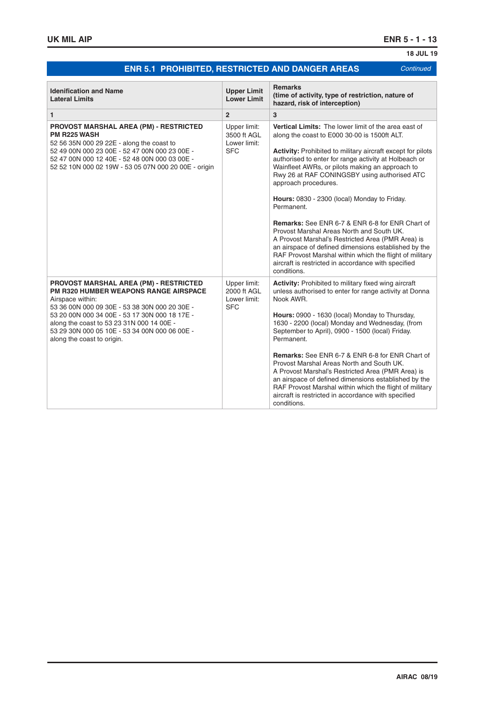# **ENR 5.1 PROHIBITED, RESTRICTED AND DANGER AREAS** *Continued*

**18 JUL 19**

| <b>Idenification and Name</b><br><b>Lateral Limits</b>                                                                                                                                                                                                                                                                                          | <b>Upper Limit</b><br><b>Lower Limit</b>                  | <b>Remarks</b><br>(time of activity, type of restriction, nature of<br>hazard, risk of interception)                                                                                                                                                                                                                                                                                                                                                                                                                                                                                                                                                                                                                                                                              |
|-------------------------------------------------------------------------------------------------------------------------------------------------------------------------------------------------------------------------------------------------------------------------------------------------------------------------------------------------|-----------------------------------------------------------|-----------------------------------------------------------------------------------------------------------------------------------------------------------------------------------------------------------------------------------------------------------------------------------------------------------------------------------------------------------------------------------------------------------------------------------------------------------------------------------------------------------------------------------------------------------------------------------------------------------------------------------------------------------------------------------------------------------------------------------------------------------------------------------|
| $\mathbf{1}$                                                                                                                                                                                                                                                                                                                                    | $\overline{2}$                                            | 3                                                                                                                                                                                                                                                                                                                                                                                                                                                                                                                                                                                                                                                                                                                                                                                 |
| <b>PROVOST MARSHAL AREA (PM) - RESTRICTED</b><br><b>PM R225 WASH</b><br>52 56 35N 000 29 22E - along the coast to<br>52 49 00N 000 23 00E - 52 47 00N 000 23 00E -<br>52 47 00N 000 12 40E - 52 48 00N 000 03 00E -<br>52 52 10N 000 02 19W - 53 05 07N 000 20 00E - origin                                                                     | Upper limit:<br>3500 ft AGL<br>Lower limit:<br><b>SFC</b> | Vertical Limits: The lower limit of the area east of<br>along the coast to E000 30.00 is 1500ft ALT.<br><b>Activity:</b> Prohibited to military aircraft except for pilots<br>authorised to enter for range activity at Holbeach or<br>Wainfleet AWRs, or pilots making an approach to<br>Rwy 26 at RAF CONINGSBY using authorised ATC<br>approach procedures.<br>Hours: 0830 - 2300 (local) Monday to Friday.<br>Permanent.<br><b>Remarks:</b> See ENR 6-7 & ENR 6-8 for ENR Chart of<br>Provost Marshal Areas North and South UK.<br>A Provost Marshal's Restricted Area (PMR Area) is<br>an airspace of defined dimensions established by the<br>RAF Provost Marshal within which the flight of military<br>aircraft is restricted in accordance with specified<br>conditions. |
| <b>PROVOST MARSHAL AREA (PM) - RESTRICTED</b><br><b>PM R320 HUMBER WEAPONS RANGE AIRSPACE</b><br>Airspace within:<br>53 36 00N 000 09 30E - 53 38 30N 000 20 30E -<br>53 20 00N 000 34 00E - 53 17 30N 000 18 17E -<br>along the coast to 53 23 31N 000 14 00E -<br>53 29 30N 000 05 10E - 53 34 00N 000 06 00E -<br>along the coast to origin. | Upper limit:<br>2000 ft AGL<br>Lower limit:<br><b>SFC</b> | Activity: Prohibited to military fixed wing aircraft<br>unless authorised to enter for range activity at Donna<br>Nook AWR.<br>Hours: 0900 - 1630 (local) Monday to Thursday,<br>1630 - 2200 (local) Monday and Wednesday, (from<br>September to April), 0900 - 1500 (local) Friday.<br>Permanent.<br><b>Remarks:</b> See ENR 6-7 & ENR 6-8 for ENR Chart of<br>Provost Marshal Areas North and South UK.<br>A Provost Marshal's Restricted Area (PMR Area) is<br>an airspace of defined dimensions established by the<br>RAF Provost Marshal within which the flight of military<br>aircraft is restricted in accordance with specified<br>conditions.                                                                                                                           |